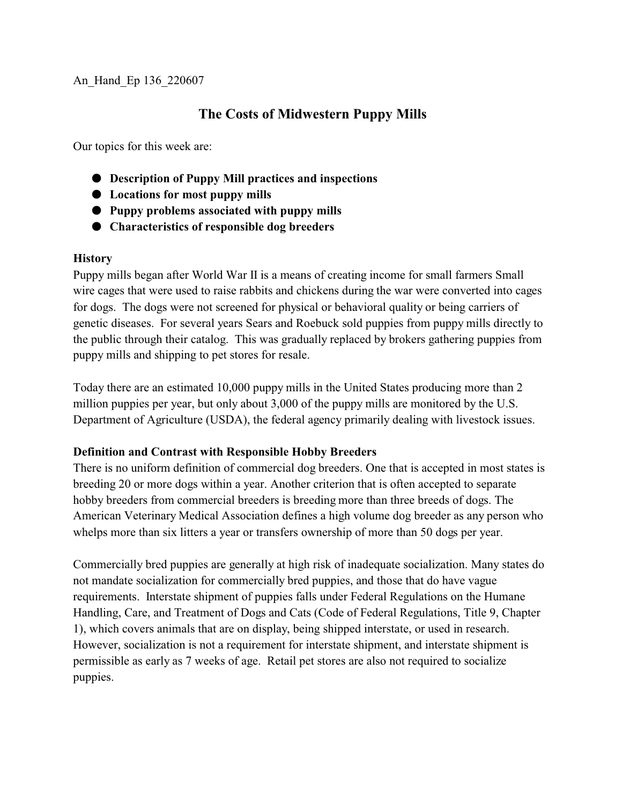# **The Costs of Midwestern Puppy Mills**

Our topics for this week are:

- $\bullet$  Description of Puppy Mill practices and inspections
- $\bullet$  Locations for most puppy mills
- M **Puppy problems associated with puppy mills**
- $\bullet$  Characteristics of responsible dog breeders

#### **History**

Puppy mills began after World War II is a means of creating income for small farmers Small wire cages that were used to raise rabbits and chickens during the war were converted into cages for dogs. The dogs were not screened for physical or behavioral quality or being carriers of genetic diseases. For several years Sears and Roebuck sold puppies from puppy mills directly to the public through their catalog. This was gradually replaced by brokers gathering puppies from puppy mills and shipping to pet stores for resale.

Today there are an estimated 10,000 puppy mills in the United States producing more than 2 million puppies per year, but only about 3,000 of the puppy mills are monitored by the U.S. Department of Agriculture (USDA), the federal agency primarily dealing with livestock issues.

## **Definition and Contrast with Responsible Hobby Breeders**

There is no uniform definition of commercial dog breeders. One that is accepted in most states is breeding 20 or more dogs within a year. Another criterion that is often accepted to separate hobby breeders from commercial breeders is breeding more than three breeds of dogs. The American Veterinary Medical Association defines a high volume dog breeder as any person who whelps more than six litters a year or transfers ownership of more than 50 dogs per year.

Commercially bred puppies are generally at high risk of inadequate socialization. Many states do not mandate socialization for commercially bred puppies, and those that do have vague requirements. Interstate shipment of puppies falls under Federal Regulations on the Humane Handling, Care, and Treatment of Dogs and Cats (Code of Federal Regulations, Title 9, Chapter 1), which covers animals that are on display, being shipped interstate, or used in research. However, socialization is not a requirement for interstate shipment, and interstate shipment is permissible as early as 7 weeks of age. Retail pet stores are also not required to socialize puppies.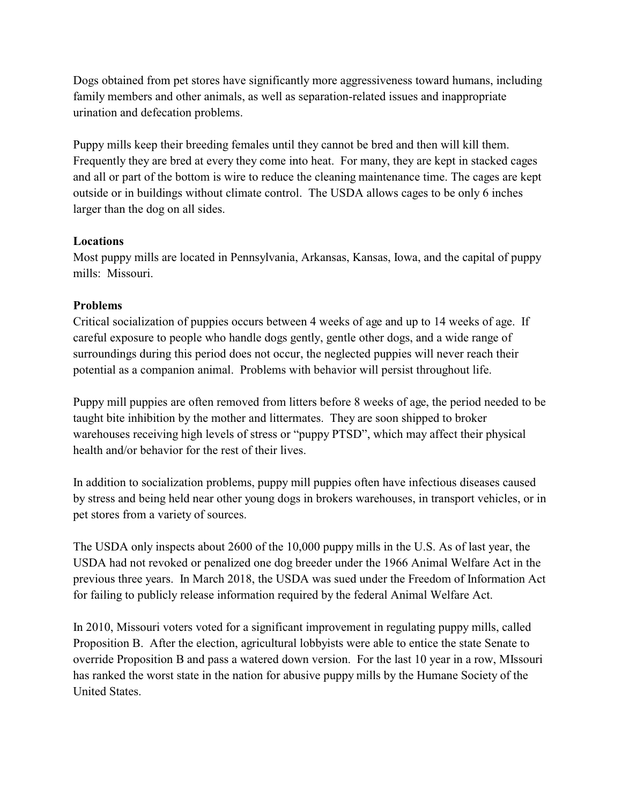Dogs obtained from pet stores have significantly more aggressiveness toward humans, including family members and other animals, as well as separation-related issues and inappropriate urination and defecation problems.

Puppy mills keep their breeding females until they cannot be bred and then will kill them. Frequently they are bred at every they come into heat. For many, they are kept in stacked cages and all or part of the bottom is wire to reduce the cleaning maintenance time. The cages are kept outside or in buildings without climate control. The USDA allows cages to be only 6 inches larger than the dog on all sides.

## **Locations**

Most puppy mills are located in Pennsylvania, Arkansas, Kansas, Iowa, and the capital of puppy mills: Missouri.

#### **Problems**

Critical socialization of puppies occurs between 4 weeks of age and up to 14 weeks of age. If careful exposure to people who handle dogs gently, gentle other dogs, and a wide range of surroundings during this period does not occur, the neglected puppies will never reach their potential as a companion animal. Problems with behavior will persist throughout life.

Puppy mill puppies are often removed from litters before 8 weeks of age, the period needed to be taught bite inhibition by the mother and littermates. They are soon shipped to broker warehouses receiving high levels of stress or "puppy PTSD", which may affect their physical health and/or behavior for the rest of their lives.

In addition to socialization problems, puppy mill puppies often have infectious diseases caused by stress and being held near other young dogs in brokers warehouses, in transport vehicles, or in pet stores from a variety of sources.

The USDA only inspects about 2600 of the 10,000 puppy mills in the U.S. As of last year, the USDA had not revoked or penalized one dog breeder under the 1966 Animal Welfare Act in the previous three years. In March 2018, the USDA was sued under the Freedom of Information Act for failing to publicly release information required by the federal Animal Welfare Act.

In 2010, Missouri voters voted for a significant improvement in regulating puppy mills, called Proposition B. After the election, agricultural lobbyists were able to entice the state Senate to override Proposition B and pass a watered down version. For the last 10 year in a row, MIssouri has ranked the worst state in the nation for abusive puppy mills by the Humane Society of the United States.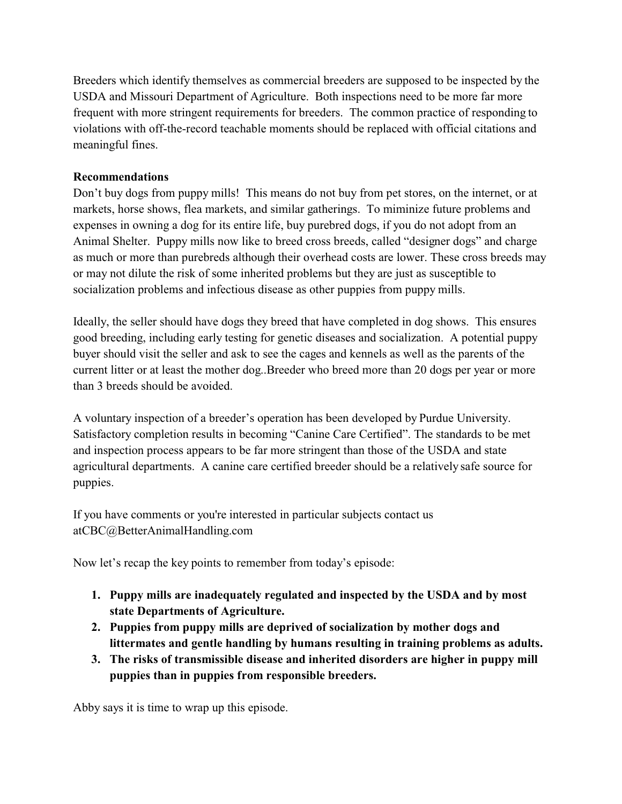Breeders which identify themselves as commercial breeders are supposed to be inspected by the USDA and Missouri Department of Agriculture. Both inspections need to be more far more frequent with more stringent requirements for breeders. The common practice of responding to violations with off-the-record teachable moments should be replaced with official citations and meaningful fines.

### **Recommendations**

Don't buy dogs from puppy mills! This means do not buy from pet stores, on the internet, or at markets, horse shows, flea markets, and similar gatherings. To miminize future problems and expenses in owning a dog for its entire life, buy purebred dogs, if you do not adopt from an Animal Shelter. Puppy mills now like to breed cross breeds, called "designer dogs" and charge as much or more than purebreds although their overhead costs are lower. These cross breeds may or may not dilute the risk of some inherited problems but they are just as susceptible to socialization problems and infectious disease as other puppies from puppy mills.

Ideally, the seller should have dogs they breed that have completed in dog shows. This ensures good breeding, including early testing for genetic diseases and socialization. A potential puppy buyer should visit the seller and ask to see the cages and kennels as well as the parents of the current litter or at least the mother dog..Breeder who breed more than 20 dogs per year or more than 3 breeds should be avoided.

A voluntary inspection of a breeder's operation has been developed by Purdue University. Satisfactory completion results in becoming "Canine Care Certified". The standards to be met and inspection process appears to be far more stringent than those of the USDA and state agricultural departments. A canine care certified breeder should be a relatively safe source for puppies.

If you have comments or you're interested in particular subjects contact us atCBC@BetterAnimalHandling.com

Now let's recap the key points to remember from today's episode:

- **1. Puppy mills are inadequately regulated and inspected by the USDA and by most state Departments of Agriculture.**
- **2. Puppies from puppy mills are deprived of socialization by mother dogs and littermates and gentle handling by humans resulting in training problems as adults.**
- **3. The risks of transmissible disease and inherited disorders are higher in puppy mill puppies than in puppies from responsible breeders.**

Abby says it is time to wrap up this episode.